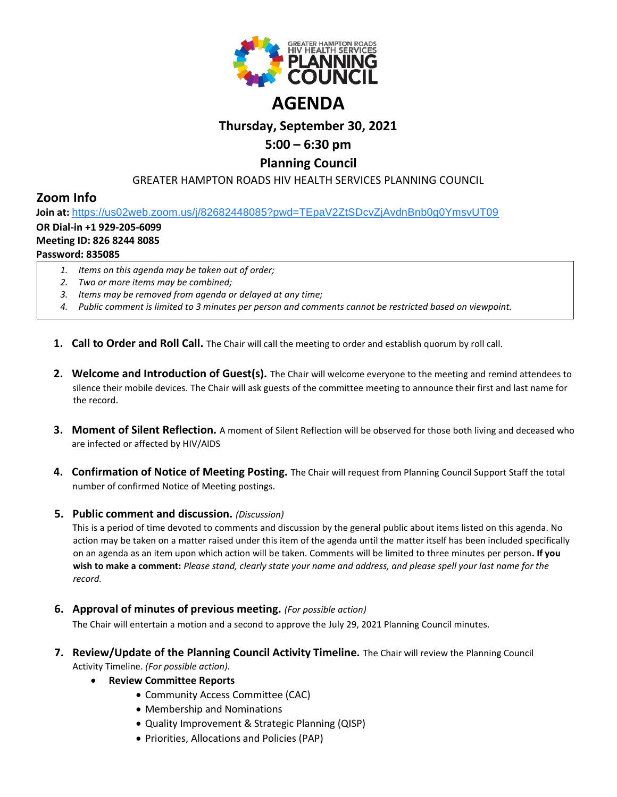

# **Thursday, September 30, 2021**

## **5:00 – 6:30 pm**

### **Planning Council**

#### GREATER HAMPTON ROADS HIV HEALTH SERVICES PLANNING COUNCIL

## **Zoom Info**

**Join at:** [https://us02web.zoom.us/j/82682448085?pwd=TEpaV2ZtSDcvZjAvdnBnb0g0YmsvUT09](https://www.google.com/url?q=https://us02web.zoom.us/j/82682448085?pwd%3DTEpaV2ZtSDcvZjAvdnBnb0g0YmsvUT09&sa=D&source=calendar&ust=1619875881860000&usg=AOvVaw0zwYUyYOogd54DiewQ0YcP)

#### **OR Dial-in +1 929-205-6099**

#### **Meeting ID: 826 8244 8085**

#### **Password: 835085**

- *1. Items on this agenda may be taken out of order;*
- *2. Two or more items may be combined;*
- *3. Items may be removed from agenda or delayed at any time;*
- *4. Public comment is limited to 3 minutes per person and comments cannot be restricted based on viewpoint.*
- **1. Call to Order and Roll Call.** The Chair will call the meeting to order and establish quorum by roll call.
- **2. Welcome and Introduction of Guest(s).** The Chair will welcome everyone to the meeting and remind attendees to silence their mobile devices. The Chair will ask guests of the committee meeting to announce their first and last name for the record.
- **3. Moment of Silent Reflection.** A moment of Silent Reflection will be observed for those both living and deceased who are infected or affected by HIV/AIDS
- **4. Confirmation of Notice of Meeting Posting.** The Chair will request from Planning Council Support Staff the total number of confirmed Notice of Meeting postings.

#### **5. Public comment and discussion.** *(Discussion)*

This is a period of time devoted to comments and discussion by the general public about items listed on this agenda. No action may be taken on a matter raised under this item of the agenda until the matter itself has been included specifically on an agenda as an item upon which action will be taken. Comments will be limited to three minutes per person**. If you wish to make a comment:** *Please stand, clearly state your name and address, and please spell your last name for the record.*

**6. Approval of minutes of previous meeting.** *(For possible action)*

The Chair will entertain a motion and a second to approve the July 29, 2021 Planning Council minutes.

- **7. Review/Update of the Planning Council Activity Timeline.** The Chair will review the Planning Council Activity Timeline. *(For possible action).*
	- **Review Committee Reports**
		- Community Access Committee (CAC)
		- Membership and Nominations
		- Quality Improvement & Strategic Planning (QISP)
		- Priorities, Allocations and Policies (PAP)